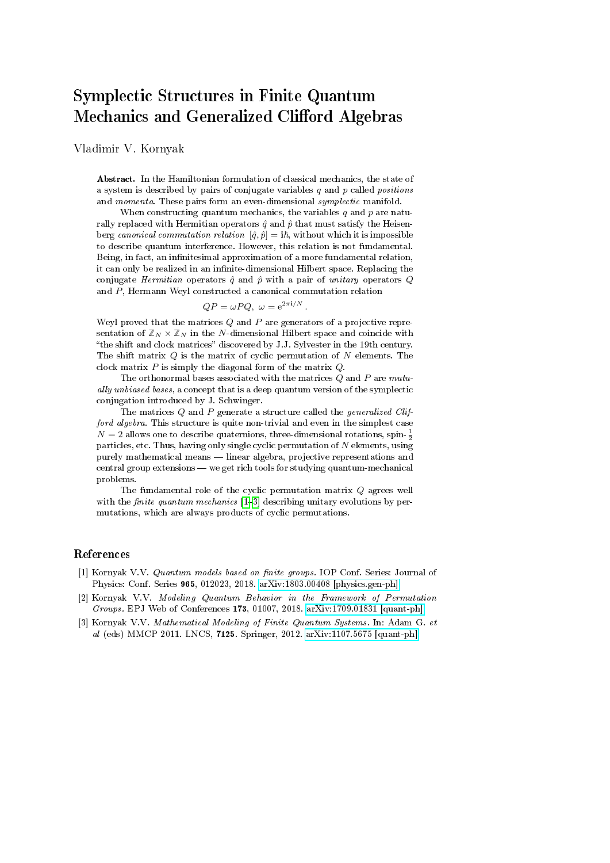## Symplectic Structures in Finite Quantum Mechanics and Generalized Clifford Algebras

Vladimir V. Kornyak

Abstract. In the Hamiltonian formulation of classical mechanics, the state of a system is described by pairs of conjugate variables  $q$  and  $p$  called *positions* and momenta. These pairs form an even-dimensional symplectic manifold.

When constructing quantum mechanics, the variables  $q$  and  $p$  are naturally replaced with Hermitian operators  $\hat{q}$  and  $\hat{p}$  that must satisfy the Heisenberg canonical commutation relation  $[\hat{q}, \hat{p}] = i\hbar$ , without which it is impossible to describe quantum interference. However, this relation is not fundamental. Being, in fact, an infinitesimal approximation of a more fundamental relation, it can only be realized in an infinite-dimensional Hilbert space. Replacing the conjugate Hermitian operators  $\hat{q}$  and  $\hat{p}$  with a pair of unitary operators  $Q$ and P, Hermann Weyl constructed a canonical commutation relation

$$
QP = \omega PQ, \ \omega = e^{2\pi i/N}.
$$

Weyl proved that the matrices  $Q$  and  $P$  are generators of a projective representation of  $\mathbb{Z}_N \times \mathbb{Z}_N$  in the N-dimensional Hilbert space and coincide with "the shift and clock matrices" discovered by J.J. Sylvester in the 19th century. The shift matrix  $Q$  is the matrix of cyclic permutation of  $N$  elements. The clock matrix  $P$  is simply the diagonal form of the matrix  $Q$ .

The orthonormal bases associated with the matrices  $Q$  and  $P$  are  $mutu$ ally unbiased bases, a concept that is a deep quantum version of the symplectic conjugation introduced by J. Schwinger.

The matrices  $Q$  and  $P$  generate a structure called the *generalized Clif*ford algebra. This structure is quite non-trivial and even in the simplest case  $N=2$  allows one to describe quaternions, three-dimensional rotations, spin- $\frac{1}{2}$ particles, etc. Thus, having only single cyclic permutation of  $N$  elements, using purely mathematical means  $\equiv$  linear algebra, projective representations and central group extensions — we get rich tools for studying quantum-mechanical problems.

The fundamental role of the cyclic permutation matrix Q agrees well with the *finite quantum mechanics*  $[1-3]$  $[1-3]$  $[1-3]$  describing unitary evolutions by permutations, which are always products of cyclic permutations.

## References

- <span id="page-0-0"></span>[1] Kornyak V.V. Quantum models based on finite groups. IOP Conf. Series: Journal of Physics: Conf. Series 965, 012023, 2018. [arXiv:1803.00408 \[physics.gen-ph\]](https://arxiv.org/pdf/1803.00408.pdf)
- [2] Kornyak V.V. Modeling Quantum Behavior in the Framework of Permutation Groups. EPJ Web of Conferences 173, 01007, 2018. [arXiv:1709.01831 \[quant-ph\]](https://arxiv.org/pdf/1709.01831.pdf)
- <span id="page-0-1"></span>[3] Kornyak V.V. Mathematical Modeling of Finite Quantum Systems. In: Adam G. et al (eds) MMCP 2011. LNCS, 7125. Springer, 2012. [arXiv:1107.5675 \[quant-ph\]](https://arxiv.org/pdf/1107.5675.pdf)